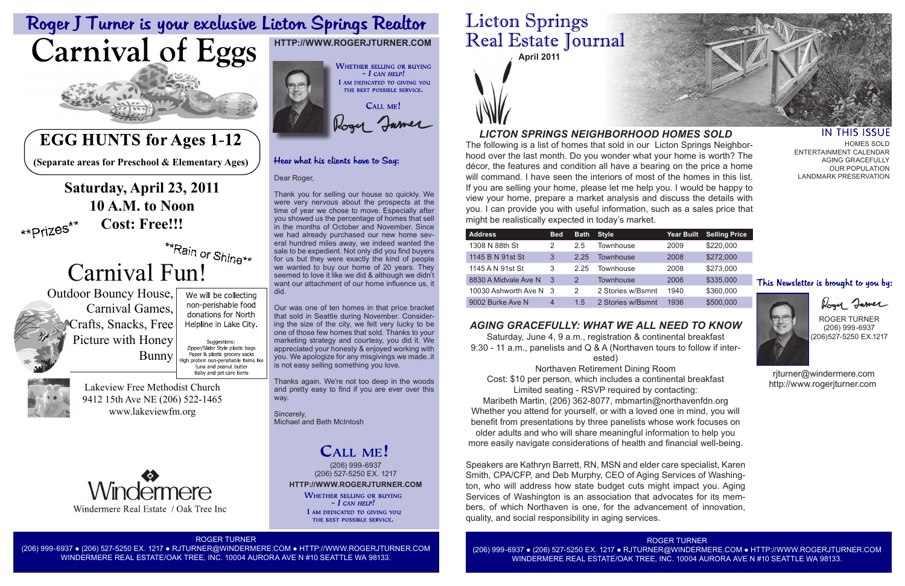### IN THIS ISSUE HOMES SOLD

ROGER TURNER



(206) 999-6937 ● (206) 527-5250 EX. 1217 ● RJTURNER@WINDERMERE.COM ● HTTP://WWW.ROGERJTURNER.COM WINDERMERE REAL ESTATE/OAK TREE, INC. 10004 AURORA AVE N #10 SEATTLE WA 98133.



| <b>Year Built</b> | <b>Selling Price</b> |
|-------------------|----------------------|
| 2009              | \$220,000            |
| 2008              | \$272,000            |
| 2008              | \$273,000            |
| 2006              | \$335,000            |
| 1940              | \$360,000            |
| 1036              | RENN NNN             |

- 
- 
- 

ENTERTAINMENT CALENDAR AGING GRACEFULLY OUR POPULATION LANDMARK PRESERVATION

## This Newsletter is brought to you by:



Rogy James

ROGER TURNER (206) 999-6937 (206)527-5250 EX.1217

 rjturner@windermere.com http://www.rogerjturner.com